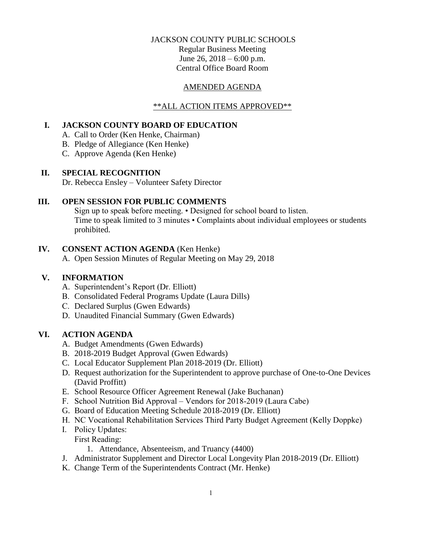### JACKSON COUNTY PUBLIC SCHOOLS

Regular Business Meeting June 26, 2018 – 6:00 p.m. Central Office Board Room

#### AMENDED AGENDA

#### \*\*ALL ACTION ITEMS APPROVED\*\*

# **I. JACKSON COUNTY BOARD OF EDUCATION**

- A. Call to Order (Ken Henke, Chairman)
- B. Pledge of Allegiance (Ken Henke)
- C. Approve Agenda (Ken Henke)

#### **II. SPECIAL RECOGNITION**

Dr. Rebecca Ensley – Volunteer Safety Director

# **III. OPEN SESSION FOR PUBLIC COMMENTS**

Sign up to speak before meeting. • Designed for school board to listen. Time to speak limited to 3 minutes • Complaints about individual employees or students prohibited.

### **IV. CONSENT ACTION AGENDA** (Ken Henke)

A. Open Session Minutes of Regular Meeting on May 29, 2018

### **V. INFORMATION**

- A. Superintendent's Report (Dr. Elliott)
- B. Consolidated Federal Programs Update (Laura Dills)
- C. Declared Surplus (Gwen Edwards)
- D. Unaudited Financial Summary (Gwen Edwards)

## **VI. ACTION AGENDA**

- A. Budget Amendments (Gwen Edwards)
- B. 2018-2019 Budget Approval (Gwen Edwards)
- C. Local Educator Supplement Plan 2018-2019 (Dr. Elliott)
- D. Request authorization for the Superintendent to approve purchase of One-to-One Devices (David Proffitt)
- E. School Resource Officer Agreement Renewal (Jake Buchanan)
- F. School Nutrition Bid Approval Vendors for 2018-2019 (Laura Cabe)
- G. Board of Education Meeting Schedule 2018-2019 (Dr. Elliott)
- H. NC Vocational Rehabilitation Services Third Party Budget Agreement (Kelly Doppke)
- I. Policy Updates: First Reading:
	- 1. Attendance, Absenteeism, and Truancy (4400)
- J. Administrator Supplement and Director Local Longevity Plan 2018-2019 (Dr. Elliott)
- K. Change Term of the Superintendents Contract (Mr. Henke)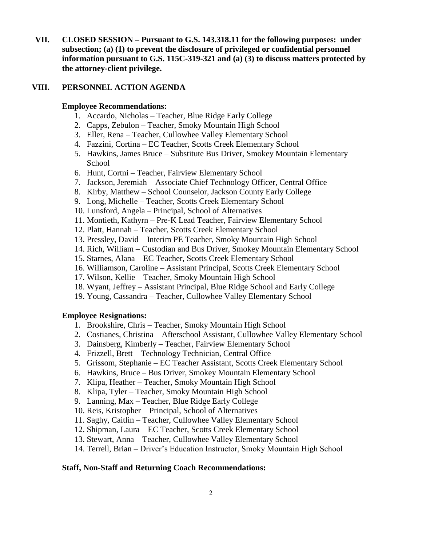**VII. CLOSED SESSION – Pursuant to G.S. 143.318.11 for the following purposes: under subsection; (a) (1) to prevent the disclosure of privileged or confidential personnel information pursuant to G.S. 115C-319-321 and (a) (3) to discuss matters protected by the attorney-client privilege.**

## **VIII. PERSONNEL ACTION AGENDA**

### **Employee Recommendations:**

- 1. Accardo, Nicholas Teacher, Blue Ridge Early College
- 2. Capps, Zebulon Teacher, Smoky Mountain High School
- 3. Eller, Rena Teacher, Cullowhee Valley Elementary School
- 4. Fazzini, Cortina EC Teacher, Scotts Creek Elementary School
- 5. Hawkins, James Bruce Substitute Bus Driver, Smokey Mountain Elementary School
- 6. Hunt, Cortni Teacher, Fairview Elementary School
- 7. Jackson, Jeremiah Associate Chief Technology Officer, Central Office
- 8. Kirby, Matthew School Counselor, Jackson County Early College
- 9. Long, Michelle Teacher, Scotts Creek Elementary School
- 10. Lunsford, Angela Principal, School of Alternatives
- 11. Montieth, Kathyrn Pre-K Lead Teacher, Fairview Elementary School
- 12. Platt, Hannah Teacher, Scotts Creek Elementary School
- 13. Pressley, David Interim PE Teacher, Smoky Mountain High School
- 14. Rich, William Custodian and Bus Driver, Smokey Mountain Elementary School
- 15. Starnes, Alana EC Teacher, Scotts Creek Elementary School
- 16. Williamson, Caroline Assistant Principal, Scotts Creek Elementary School
- 17. Wilson, Kellie Teacher, Smoky Mountain High School
- 18. Wyant, Jeffrey Assistant Principal, Blue Ridge School and Early College
- 19. Young, Cassandra Teacher, Cullowhee Valley Elementary School

#### **Employee Resignations:**

- 1. Brookshire, Chris Teacher, Smoky Mountain High School
- 2. Costianes, Christina Afterschool Assistant, Cullowhee Valley Elementary School
- 3. Dainsberg, Kimberly Teacher, Fairview Elementary School
- 4. Frizzell, Brett Technology Technician, Central Office
- 5. Grissom, Stephanie EC Teacher Assistant, Scotts Creek Elementary School
- 6. Hawkins, Bruce Bus Driver, Smokey Mountain Elementary School
- 7. Klipa, Heather Teacher, Smoky Mountain High School
- 8. Klipa, Tyler Teacher, Smoky Mountain High School
- 9. Lanning, Max Teacher, Blue Ridge Early College
- 10. Reis, Kristopher Principal, School of Alternatives
- 11. Saghy, Caitlin Teacher, Cullowhee Valley Elementary School
- 12. Shipman, Laura EC Teacher, Scotts Creek Elementary School
- 13. Stewart, Anna Teacher, Cullowhee Valley Elementary School
- 14. Terrell, Brian Driver's Education Instructor, Smoky Mountain High School

#### **Staff, Non-Staff and Returning Coach Recommendations:**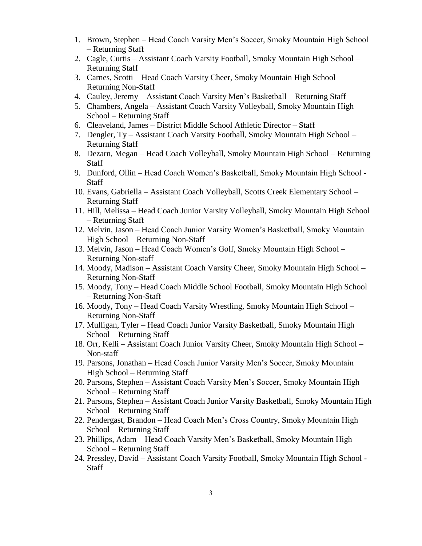- 1. Brown, Stephen Head Coach Varsity Men's Soccer, Smoky Mountain High School – Returning Staff
- 2. Cagle, Curtis Assistant Coach Varsity Football, Smoky Mountain High School Returning Staff
- 3. Carnes, Scotti Head Coach Varsity Cheer, Smoky Mountain High School Returning Non-Staff
- 4. Cauley, Jeremy Assistant Coach Varsity Men's Basketball Returning Staff
- 5. Chambers, Angela Assistant Coach Varsity Volleyball, Smoky Mountain High School – Returning Staff
- 6. Cleaveland, James District Middle School Athletic Director Staff
- 7. Dengler, Ty Assistant Coach Varsity Football, Smoky Mountain High School Returning Staff
- 8. Dezarn, Megan Head Coach Volleyball, Smoky Mountain High School Returning Staff
- 9. Dunford, Ollin Head Coach Women's Basketball, Smoky Mountain High School **Staff**
- 10. Evans, Gabriella Assistant Coach Volleyball, Scotts Creek Elementary School Returning Staff
- 11. Hill, Melissa Head Coach Junior Varsity Volleyball, Smoky Mountain High School – Returning Staff
- 12. Melvin, Jason Head Coach Junior Varsity Women's Basketball, Smoky Mountain High School – Returning Non-Staff
- 13. Melvin, Jason Head Coach Women's Golf, Smoky Mountain High School Returning Non-staff
- 14. Moody, Madison Assistant Coach Varsity Cheer, Smoky Mountain High School Returning Non-Staff
- 15. Moody, Tony Head Coach Middle School Football, Smoky Mountain High School – Returning Non-Staff
- 16. Moody, Tony Head Coach Varsity Wrestling, Smoky Mountain High School Returning Non-Staff
- 17. Mulligan, Tyler Head Coach Junior Varsity Basketball, Smoky Mountain High School – Returning Staff
- 18. Orr, Kelli Assistant Coach Junior Varsity Cheer, Smoky Mountain High School Non-staff
- 19. Parsons, Jonathan Head Coach Junior Varsity Men's Soccer, Smoky Mountain High School – Returning Staff
- 20. Parsons, Stephen Assistant Coach Varsity Men's Soccer, Smoky Mountain High School – Returning Staff
- 21. Parsons, Stephen Assistant Coach Junior Varsity Basketball, Smoky Mountain High School – Returning Staff
- 22. Pendergast, Brandon Head Coach Men's Cross Country, Smoky Mountain High School – Returning Staff
- 23. Phillips, Adam Head Coach Varsity Men's Basketball, Smoky Mountain High School – Returning Staff
- 24. Pressley, David Assistant Coach Varsity Football, Smoky Mountain High School Staff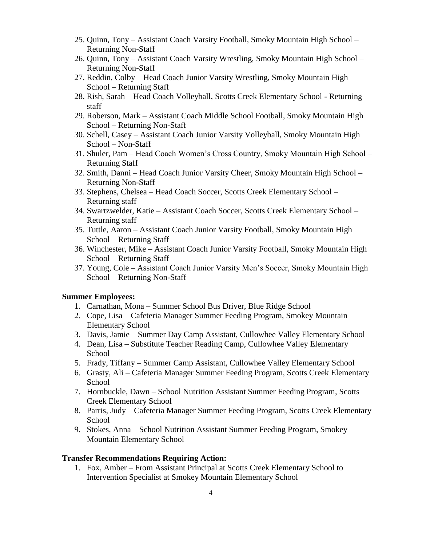- 25. Quinn, Tony Assistant Coach Varsity Football, Smoky Mountain High School Returning Non-Staff
- 26. Quinn, Tony Assistant Coach Varsity Wrestling, Smoky Mountain High School Returning Non-Staff
- 27. Reddin, Colby Head Coach Junior Varsity Wrestling, Smoky Mountain High School – Returning Staff
- 28. Rish, Sarah Head Coach Volleyball, Scotts Creek Elementary School Returning staff
- 29. Roberson, Mark Assistant Coach Middle School Football, Smoky Mountain High School – Returning Non-Staff
- 30. Schell, Casey Assistant Coach Junior Varsity Volleyball, Smoky Mountain High School – Non-Staff
- 31. Shuler, Pam Head Coach Women's Cross Country, Smoky Mountain High School Returning Staff
- 32. Smith, Danni Head Coach Junior Varsity Cheer, Smoky Mountain High School Returning Non-Staff
- 33. Stephens, Chelsea Head Coach Soccer, Scotts Creek Elementary School Returning staff
- 34. Swartzwelder, Katie Assistant Coach Soccer, Scotts Creek Elementary School Returning staff
- 35. Tuttle, Aaron Assistant Coach Junior Varsity Football, Smoky Mountain High School – Returning Staff
- 36. Winchester, Mike Assistant Coach Junior Varsity Football, Smoky Mountain High School – Returning Staff
- 37. Young, Cole Assistant Coach Junior Varsity Men's Soccer, Smoky Mountain High School – Returning Non-Staff

#### **Summer Employees:**

- 1. Carnathan, Mona Summer School Bus Driver, Blue Ridge School
- 2. Cope, Lisa Cafeteria Manager Summer Feeding Program, Smokey Mountain Elementary School
- 3. Davis, Jamie Summer Day Camp Assistant, Cullowhee Valley Elementary School
- 4. Dean, Lisa Substitute Teacher Reading Camp, Cullowhee Valley Elementary School
- 5. Frady, Tiffany Summer Camp Assistant, Cullowhee Valley Elementary School
- 6. Grasty, Ali Cafeteria Manager Summer Feeding Program, Scotts Creek Elementary **School**
- 7. Hornbuckle, Dawn School Nutrition Assistant Summer Feeding Program, Scotts Creek Elementary School
- 8. Parris, Judy Cafeteria Manager Summer Feeding Program, Scotts Creek Elementary School
- 9. Stokes, Anna School Nutrition Assistant Summer Feeding Program, Smokey Mountain Elementary School

#### **Transfer Recommendations Requiring Action:**

1. Fox, Amber – From Assistant Principal at Scotts Creek Elementary School to Intervention Specialist at Smokey Mountain Elementary School